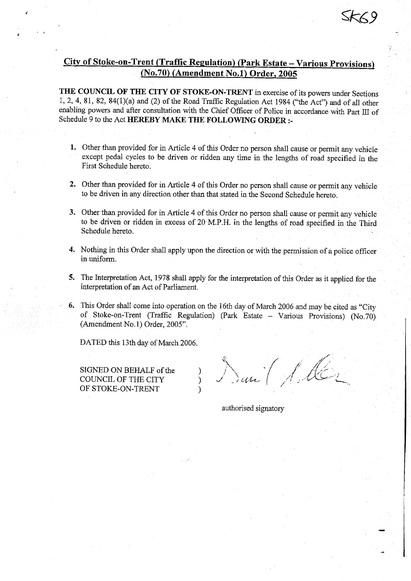# City of Stoke-on-Trent (Traffic **Regulation**) (**Park Estate** - **Various Provisions)** (No.70**) (Amendment No.1) Order, 2005**

THE COUNCIL OF THE CITY OF STOKE-ON-TRENT in exercise of its powers under **Sections** 1, 2, 4, 81, 82, 84(1)(a) and (2) of the Road Traffic Regulation Act 1984 ("the Act") and of all other enabling powers and after consultation with the Chief Officer of Police in accordance with Part III of Schedule 9 to the Act HEREBY MAKE THE FOLLOWING ORDER :-

- 1. Other than provided for in Article 4 of this Order no person shall cause or permit any vehicle except pedal cycles to be driven or ridden any time in the lengths of road specified in the First Schedule hereto.
- 2. Other than provided for in Article 4 of this Order no person shall cause or permit any vehicle to be driven in any direction other than that stated in the Second Schedule hereto.
- 3. Other than provided for in Article 4 of this Order no person shall cause or permit any vehicle to be driven or ridden in excess of 20 M.P.H. in the lengths of road specified in the Third Schedule hereto.
- 4. Nothing in this Order shall apply upon the direction or with the permission of a police officer in uniform.
- 5. The Interpretation Act, 1978 shall apply for the interpretation of this Order as it applied for the interpretation of an Act of Parliament.
- 6. This Order shall come into operation on the 16th day of March 2006 and may be cited as "City of Stoke-on-Trent (Traffic Regulation) (Park Estate -- Various Provisions) (No.70) (Amendment No. 1) Order, 2005"

 $\mathcal{E}$  $\mathcal{E}$ 

DATED this 13th day of March 2006.

SIGNED ON BEHALF of the COUNCIL OF THE CITY OF STOKE-ON-TRENT

authorised signatory